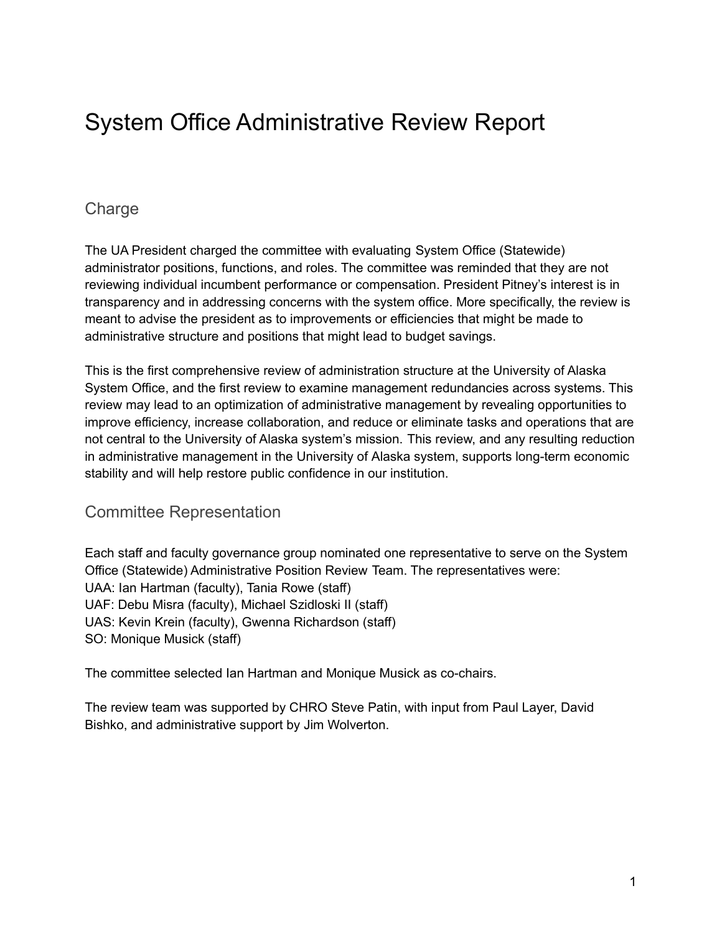# System Office Administrative Review Report

# **Charge**

The UA President charged the committee with evaluating System Office (Statewide) administrator positions, functions, and roles. The committee was reminded that they are not reviewing individual incumbent performance or compensation. President Pitney's interest is in transparency and in addressing concerns with the system office. More specifically, the review is meant to advise the president as to improvements or efficiencies that might be made to administrative structure and positions that might lead to budget savings.

This is the first comprehensive review of administration structure at the University of Alaska System Office, and the first review to examine management redundancies across systems. This review may lead to an optimization of administrative management by revealing opportunities to improve efficiency, increase collaboration, and reduce or eliminate tasks and operations that are not central to the University of Alaska system's mission. This review, and any resulting reduction in administrative management in the University of Alaska system, supports long-term economic stability and will help restore public confidence in our institution.

# Committee Representation

Each staff and faculty governance group nominated one representative to serve on the System Office (Statewide) Administrative Position Review Team. The representatives were: UAA: Ian Hartman (faculty), Tania Rowe (staff) UAF: Debu Misra (faculty), Michael Szidloski II (staff) UAS: Kevin Krein (faculty), Gwenna Richardson (staff) SO: Monique Musick (staff)

The committee selected Ian Hartman and Monique Musick as co-chairs.

The review team was supported by CHRO Steve Patin, with input from Paul Layer, David Bishko, and administrative support by Jim Wolverton.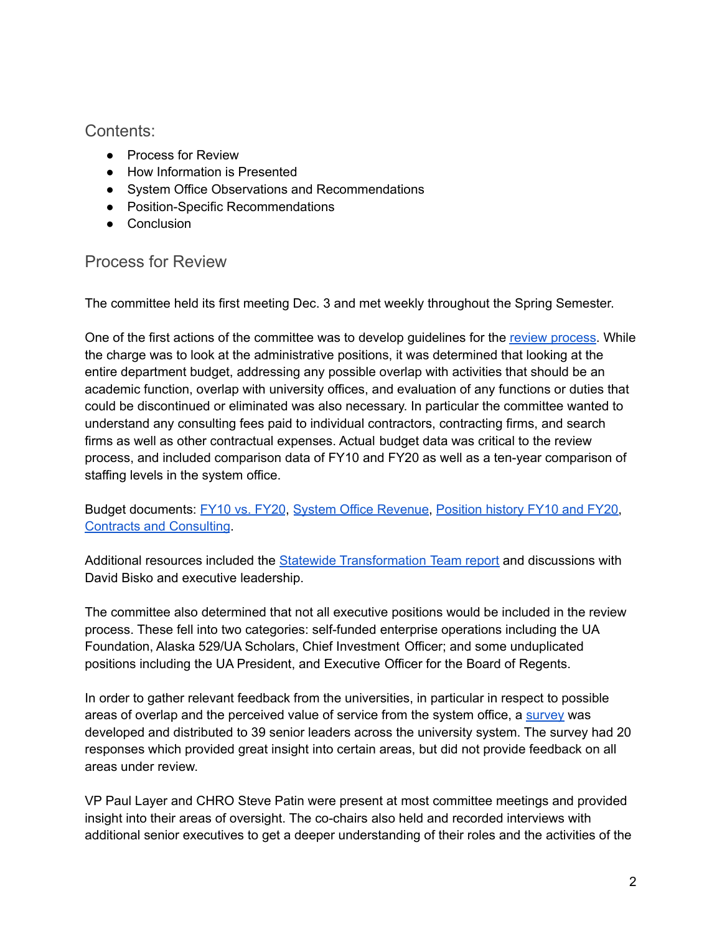Contents:

- Process for Review
- How Information is Presented
- System Office Observations and Recommendations
- Position-Specific Recommendations
- Conclusion

# Process for Review

The committee held its first meeting Dec. 3 and met weekly throughout the Spring Semester.

One of the first actions of the committee was to develop guidelines for the review [process.](https://docs.google.com/document/d/1imrC68Q-o6192baYCgf6pSQPPrr_U61J9bMCNpg6m_M/edit?usp=sharing) While the charge was to look at the administrative positions, it was determined that looking at the entire department budget, addressing any possible overlap with activities that should be an academic function, overlap with university offices, and evaluation of any functions or duties that could be discontinued or eliminated was also necessary. In particular the committee wanted to understand any consulting fees paid to individual contractors, contracting firms, and search firms as well as other contractual expenses. Actual budget data was critical to the review process, and included comparison data of FY10 and FY20 as well as a ten-year comparison of staffing levels in the system office.

Budget documents: [FY10](https://drive.google.com/file/d/13gd59uEiwWWgfP8ZFfPffGUj7WFcqQjR/view?usp=sharing) vs. FY20, System Office [Revenue,](https://drive.google.com/file/d/1Y92keQQIu3OazxMSdevyKWcDDaS4FfGL/view?usp=sharing) [Position](https://drive.google.com/file/d/18X8z2Yk8pbome1HZblv4C4sO3_AqXLBt/view?usp=sharing) history FY10 and FY20, Contracts and [Consulting](https://drive.google.com/file/d/18awkbhhrODw4z5W881rr1Y0hrL8xHC0m/view?usp=sharing).

Additional resources included the Statewide [Transformation](https://drive.google.com/file/d/1NZEjVymOXgD9r5XNoHQGZc9r87443qyG/view?usp=sharing) Team report and discussions with David Bisko and executive leadership.

The committee also determined that not all executive positions would be included in the review process. These fell into two categories: self-funded enterprise operations including the UA Foundation, Alaska 529/UA Scholars, Chief Investment Officer; and some unduplicated positions including the UA President, and Executive Officer for the Board of Regents.

In order to gather relevant feedback from the universities, in particular in respect to possible areas of overlap and the perceived value of service from the system office, a [survey](https://drive.google.com/file/d/1Z_9yH2b9qNopMPyIGp-05sUVebSR0gy3/view?usp=sharing) was developed and distributed to 39 senior leaders across the university system. The survey had 20 responses which provided great insight into certain areas, but did not provide feedback on all areas under review.

VP Paul Layer and CHRO Steve Patin were present at most committee meetings and provided insight into their areas of oversight. The co-chairs also held and recorded interviews with additional senior executives to get a deeper understanding of their roles and the activities of the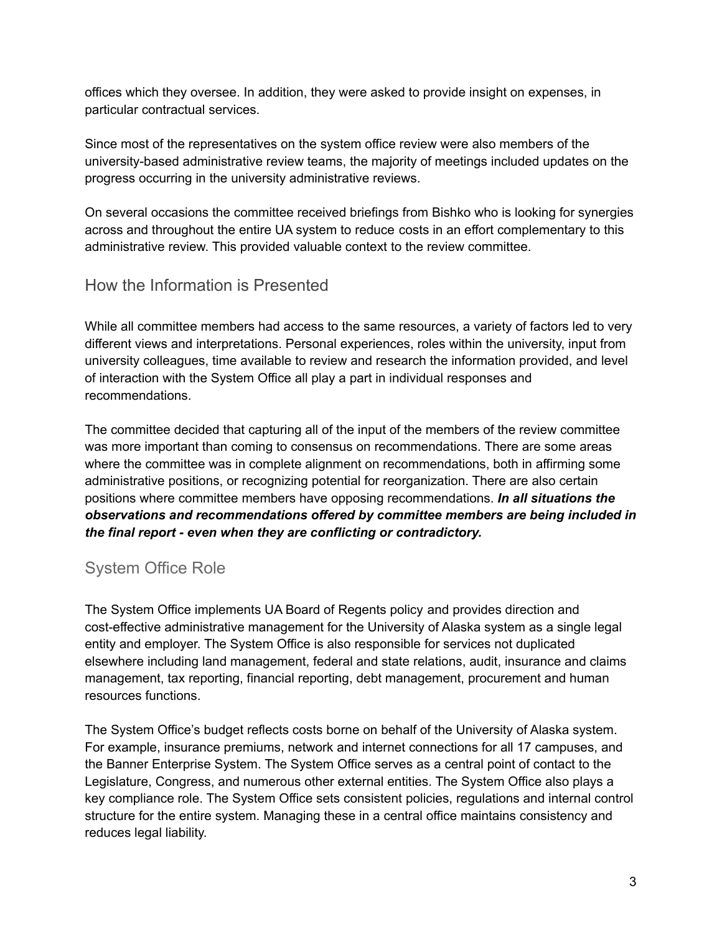offices which they oversee. In addition, they were asked to provide insight on expenses, in particular contractual services.

Since most of the representatives on the system office review were also members of the university-based administrative review teams, the majority of meetings included updates on the progress occurring in the university administrative reviews.

On several occasions the committee received briefings from Bishko who is looking for synergies across and throughout the entire UA system to reduce costs in an effort complementary to this administrative review. This provided valuable context to the review committee.

# How the Information is Presented

While all committee members had access to the same resources, a variety of factors led to very different views and interpretations. Personal experiences, roles within the university, input from university colleagues, time available to review and research the information provided, and level of interaction with the System Office all play a part in individual responses and recommendations.

The committee decided that capturing all of the input of the members of the review committee was more important than coming to consensus on recommendations. There are some areas where the committee was in complete alignment on recommendations, both in affirming some administrative positions, or recognizing potential for reorganization. There are also certain positions where committee members have opposing recommendations. *In all situations the observations and recommendations offered by committee members are being included in the final report - even when they are conflicting or contradictory.*

# System Office Role

The System Office implements UA Board of Regents policy and provides direction and cost-effective administrative management for the University of Alaska system as a single legal entity and employer. The System Office is also responsible for services not duplicated elsewhere including land management, federal and state relations, audit, insurance and claims management, tax reporting, financial reporting, debt management, procurement and human resources functions.

The System Office's budget reflects costs borne on behalf of the University of Alaska system. For example, insurance premiums, network and internet connections for all 17 campuses, and the Banner Enterprise System. The System Office serves as a central point of contact to the Legislature, Congress, and numerous other external entities. The System Office also plays a key compliance role. The System Office sets consistent policies, regulations and internal control structure for the entire system. Managing these in a central office maintains consistency and reduces legal liability.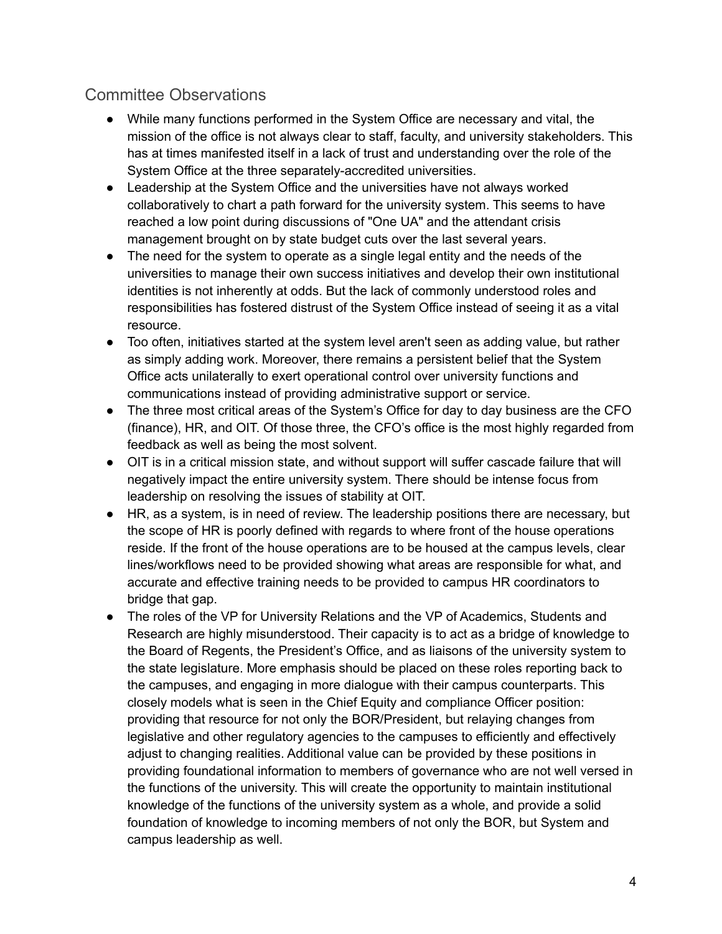# Committee Observations

- While many functions performed in the System Office are necessary and vital, the mission of the office is not always clear to staff, faculty, and university stakeholders. This has at times manifested itself in a lack of trust and understanding over the role of the System Office at the three separately-accredited universities.
- Leadership at the System Office and the universities have not always worked collaboratively to chart a path forward for the university system. This seems to have reached a low point during discussions of "One UA" and the attendant crisis management brought on by state budget cuts over the last several years.
- The need for the system to operate as a single legal entity and the needs of the universities to manage their own success initiatives and develop their own institutional identities is not inherently at odds. But the lack of commonly understood roles and responsibilities has fostered distrust of the System Office instead of seeing it as a vital resource.
- Too often, initiatives started at the system level aren't seen as adding value, but rather as simply adding work. Moreover, there remains a persistent belief that the System Office acts unilaterally to exert operational control over university functions and communications instead of providing administrative support or service.
- The three most critical areas of the System's Office for day to day business are the CFO (finance), HR, and OIT. Of those three, the CFO's office is the most highly regarded from feedback as well as being the most solvent.
- OIT is in a critical mission state, and without support will suffer cascade failure that will negatively impact the entire university system. There should be intense focus from leadership on resolving the issues of stability at OIT.
- HR, as a system, is in need of review. The leadership positions there are necessary, but the scope of HR is poorly defined with regards to where front of the house operations reside. If the front of the house operations are to be housed at the campus levels, clear lines/workflows need to be provided showing what areas are responsible for what, and accurate and effective training needs to be provided to campus HR coordinators to bridge that gap.
- The roles of the VP for University Relations and the VP of Academics, Students and Research are highly misunderstood. Their capacity is to act as a bridge of knowledge to the Board of Regents, the President's Office, and as liaisons of the university system to the state legislature. More emphasis should be placed on these roles reporting back to the campuses, and engaging in more dialogue with their campus counterparts. This closely models what is seen in the Chief Equity and compliance Officer position: providing that resource for not only the BOR/President, but relaying changes from legislative and other regulatory agencies to the campuses to efficiently and effectively adjust to changing realities. Additional value can be provided by these positions in providing foundational information to members of governance who are not well versed in the functions of the university. This will create the opportunity to maintain institutional knowledge of the functions of the university system as a whole, and provide a solid foundation of knowledge to incoming members of not only the BOR, but System and campus leadership as well.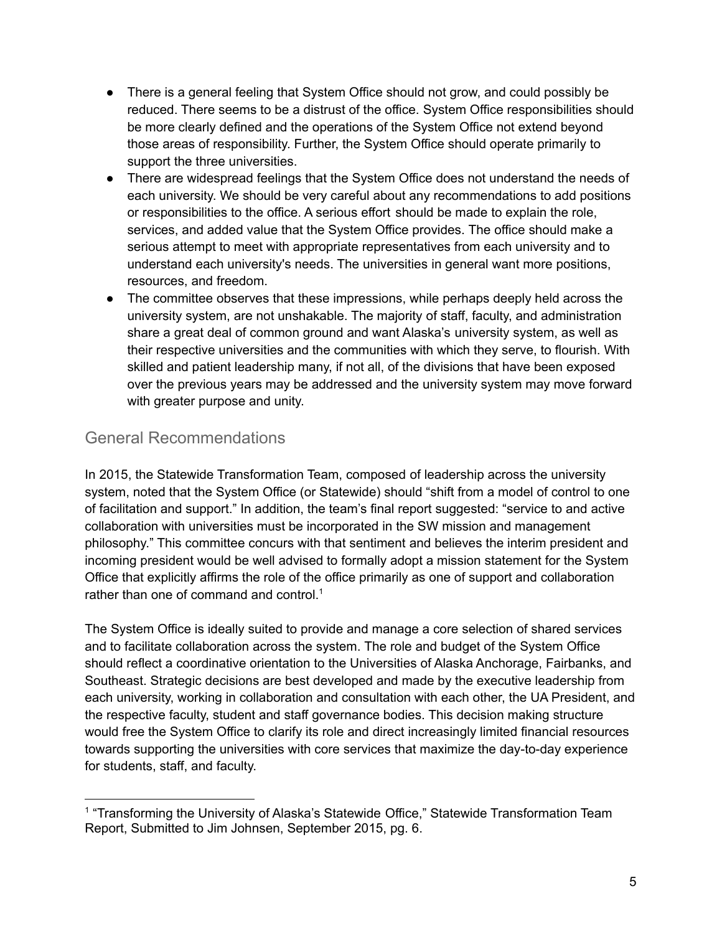- There is a general feeling that System Office should not grow, and could possibly be reduced. There seems to be a distrust of the office. System Office responsibilities should be more clearly defined and the operations of the System Office not extend beyond those areas of responsibility. Further, the System Office should operate primarily to support the three universities.
- There are widespread feelings that the System Office does not understand the needs of each university. We should be very careful about any recommendations to add positions or responsibilities to the office. A serious effort should be made to explain the role, services, and added value that the System Office provides. The office should make a serious attempt to meet with appropriate representatives from each university and to understand each university's needs. The universities in general want more positions, resources, and freedom.
- The committee observes that these impressions, while perhaps deeply held across the university system, are not unshakable. The majority of staff, faculty, and administration share a great deal of common ground and want Alaska's university system, as well as their respective universities and the communities with which they serve, to flourish. With skilled and patient leadership many, if not all, of the divisions that have been exposed over the previous years may be addressed and the university system may move forward with greater purpose and unity.

# General Recommendations

In 2015, the Statewide Transformation Team, composed of leadership across the university system, noted that the System Office (or Statewide) should "shift from a model of control to one of facilitation and support." In addition, the team's final report suggested: "service to and active collaboration with universities must be incorporated in the SW mission and management philosophy." This committee concurs with that sentiment and believes the interim president and incoming president would be well advised to formally adopt a mission statement for the System Office that explicitly affirms the role of the office primarily as one of support and collaboration rather than one of command and control.<sup>1</sup>

The System Office is ideally suited to provide and manage a core selection of shared services and to facilitate collaboration across the system. The role and budget of the System Office should reflect a coordinative orientation to the Universities of Alaska Anchorage, Fairbanks, and Southeast. Strategic decisions are best developed and made by the executive leadership from each university, working in collaboration and consultation with each other, the UA President, and the respective faculty, student and staff governance bodies. This decision making structure would free the System Office to clarify its role and direct increasingly limited financial resources towards supporting the universities with core services that maximize the day-to-day experience for students, staff, and faculty.

<sup>&</sup>lt;sup>1</sup> "Transforming the University of Alaska's Statewide Office," Statewide Transformation Team Report, Submitted to Jim Johnsen, September 2015, pg. 6.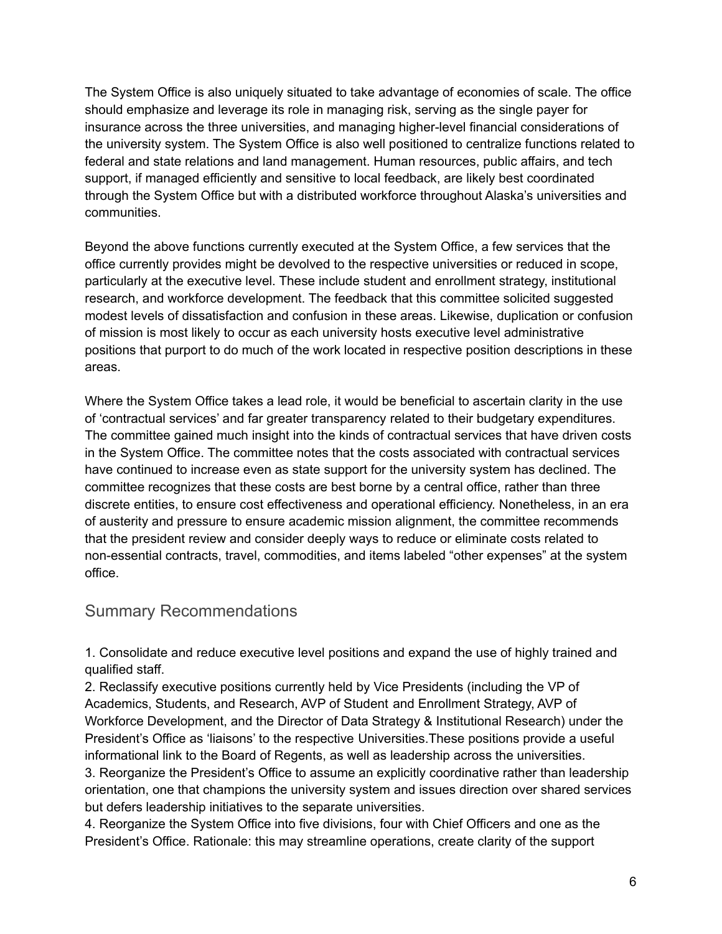The System Office is also uniquely situated to take advantage of economies of scale. The office should emphasize and leverage its role in managing risk, serving as the single payer for insurance across the three universities, and managing higher-level financial considerations of the university system. The System Office is also well positioned to centralize functions related to federal and state relations and land management. Human resources, public affairs, and tech support, if managed efficiently and sensitive to local feedback, are likely best coordinated through the System Office but with a distributed workforce throughout Alaska's universities and communities.

Beyond the above functions currently executed at the System Office, a few services that the office currently provides might be devolved to the respective universities or reduced in scope, particularly at the executive level. These include student and enrollment strategy, institutional research, and workforce development. The feedback that this committee solicited suggested modest levels of dissatisfaction and confusion in these areas. Likewise, duplication or confusion of mission is most likely to occur as each university hosts executive level administrative positions that purport to do much of the work located in respective position descriptions in these areas.

Where the System Office takes a lead role, it would be beneficial to ascertain clarity in the use of 'contractual services' and far greater transparency related to their budgetary expenditures. The committee gained much insight into the kinds of contractual services that have driven costs in the System Office. The committee notes that the costs associated with contractual services have continued to increase even as state support for the university system has declined. The committee recognizes that these costs are best borne by a central office, rather than three discrete entities, to ensure cost effectiveness and operational efficiency. Nonetheless, in an era of austerity and pressure to ensure academic mission alignment, the committee recommends that the president review and consider deeply ways to reduce or eliminate costs related to non-essential contracts, travel, commodities, and items labeled "other expenses" at the system office.

# Summary Recommendations

1. Consolidate and reduce executive level positions and expand the use of highly trained and qualified staff.

2. Reclassify executive positions currently held by Vice Presidents (including the VP of Academics, Students, and Research, AVP of Student and Enrollment Strategy, AVP of Workforce Development, and the Director of Data Strategy & Institutional Research) under the President's Office as 'liaisons' to the respective Universities.These positions provide a useful informational link to the Board of Regents, as well as leadership across the universities. 3. Reorganize the President's Office to assume an explicitly coordinative rather than leadership orientation, one that champions the university system and issues direction over shared services

but defers leadership initiatives to the separate universities.

4. Reorganize the System Office into five divisions, four with Chief Officers and one as the President's Office. Rationale: this may streamline operations, create clarity of the support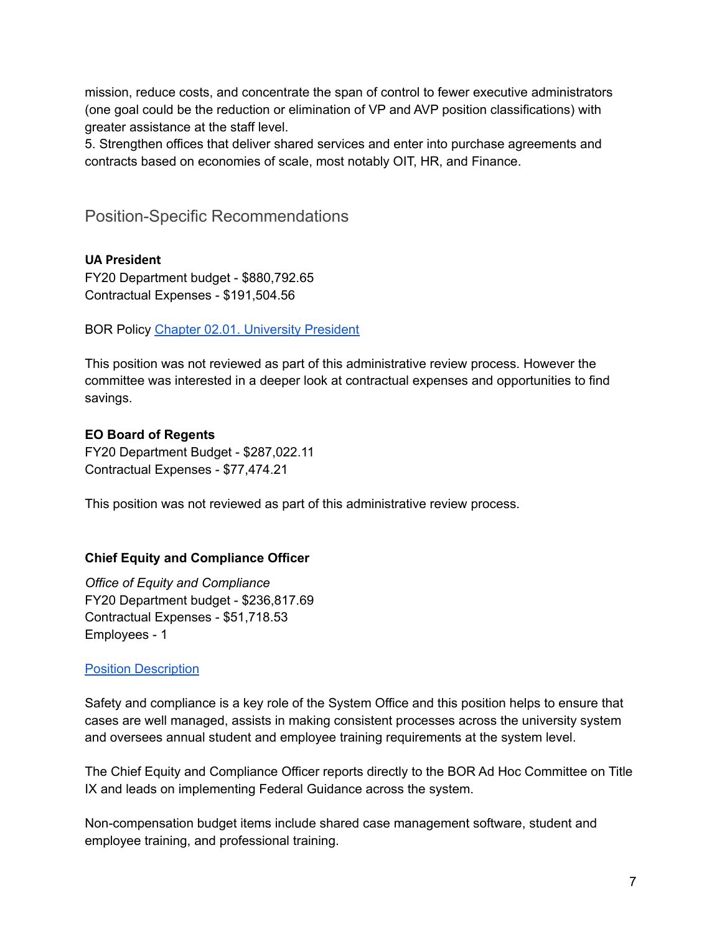mission, reduce costs, and concentrate the span of control to fewer executive administrators (one goal could be the reduction or elimination of VP and AVP position classifications) with greater assistance at the staff level.

5. Strengthen offices that deliver shared services and enter into purchase agreements and contracts based on economies of scale, most notably OIT, HR, and Finance.

Position-Specific Recommendations

**UA President** FY20 Department budget - \$880,792.65 Contractual Expenses - \$191,504.56

BOR Policy Chapter 02.01. [University](https://alaska.edu/bor/policy/02.01-%20University%20President.pdf) President

This position was not reviewed as part of this administrative review process. However the committee was interested in a deeper look at contractual expenses and opportunities to find savings.

#### **EO Board of Regents**

FY20 Department Budget - \$287,022.11 Contractual Expenses - \$77,474.21

This position was not reviewed as part of this administrative review process.

# **Chief Equity and Compliance Officer**

*Office of Equity and Compliance* FY20 Department budget - \$236,817.69 Contractual Expenses - \$51,718.53 Employees - 1

#### Position [Description](https://drive.google.com/file/d/1OfFHB44vWVAepf6PwdVpBjKT7TUPGY9l/view?usp=sharing)

Safety and compliance is a key role of the System Office and this position helps to ensure that cases are well managed, assists in making consistent processes across the university system and oversees annual student and employee training requirements at the system level.

The Chief Equity and Compliance Officer reports directly to the BOR Ad Hoc Committee on Title IX and leads on implementing Federal Guidance across the system.

Non-compensation budget items include shared case management software, student and employee training, and professional training.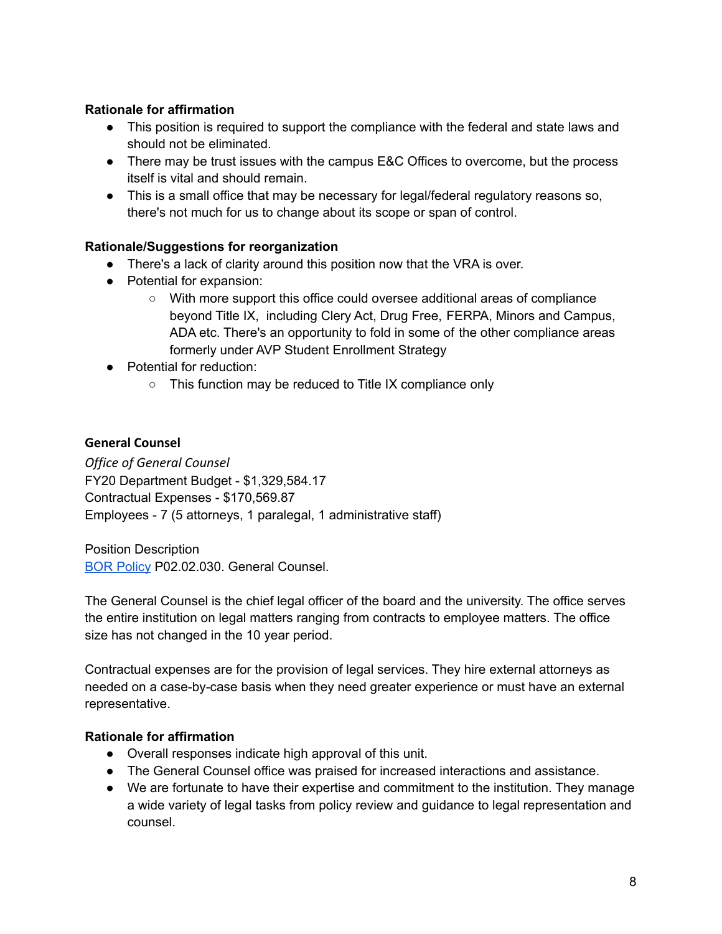# **Rationale for affirmation**

- This position is required to support the compliance with the federal and state laws and should not be eliminated.
- There may be trust issues with the campus E&C Offices to overcome, but the process itself is vital and should remain.
- This is a small office that may be necessary for legal/federal regulatory reasons so, there's not much for us to change about its scope or span of control.

# **Rationale/Suggestions for reorganization**

- There's a lack of clarity around this position now that the VRA is over.
- Potential for expansion:
	- With more support this office could oversee additional areas of compliance beyond Title IX, including Clery Act, Drug Free, FERPA, Minors and Campus, ADA etc. There's an opportunity to fold in some of the other compliance areas formerly under AVP Student Enrollment Strategy
- Potential for reduction:
	- This function may be reduced to Title IX compliance only

# **General Counsel**

*Office of General Counsel* FY20 Department Budget - \$1,329,584.17 Contractual Expenses - \$170,569.87 Employees - 7 (5 attorneys, 1 paralegal, 1 administrative staff)

Position Description BOR [Policy](https://alaska.edu/bor/policy/02.02-Officers%20of%20the%20University.pdf) P02.02.030. General Counsel.

The General Counsel is the chief legal officer of the board and the university. The office serves the entire institution on legal matters ranging from contracts to employee matters. The office size has not changed in the 10 year period.

Contractual expenses are for the provision of legal services. They hire external attorneys as needed on a case-by-case basis when they need greater experience or must have an external representative.

# **Rationale for affirmation**

- Overall responses indicate high approval of this unit.
- The General Counsel office was praised for increased interactions and assistance.
- We are fortunate to have their expertise and commitment to the institution. They manage a wide variety of legal tasks from policy review and guidance to legal representation and counsel.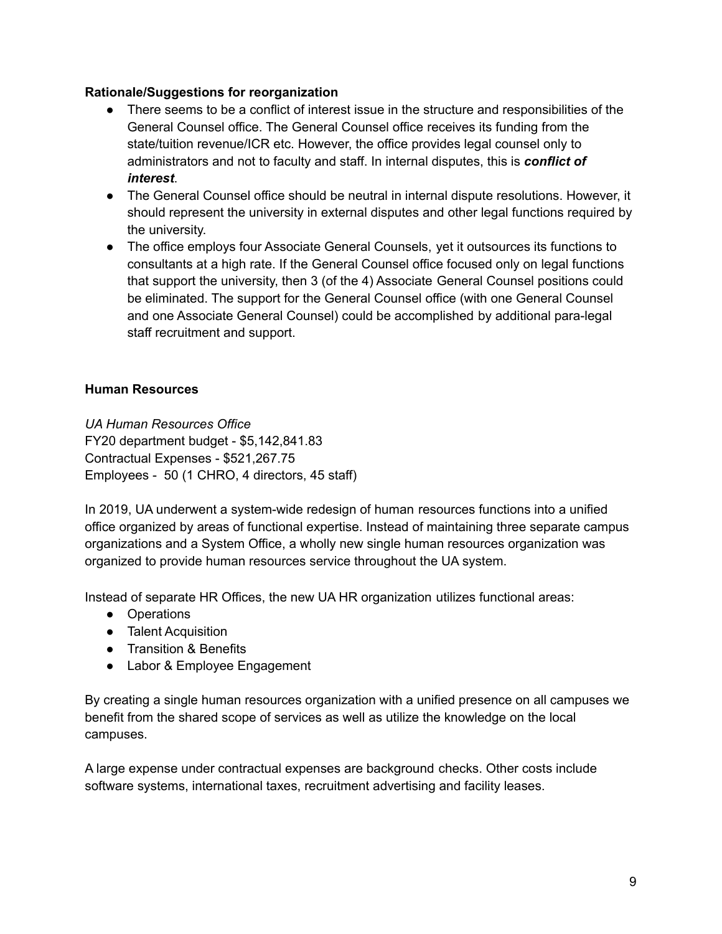#### **Rationale/Suggestions for reorganization**

- There seems to be a conflict of interest issue in the structure and responsibilities of the General Counsel office. The General Counsel office receives its funding from the state/tuition revenue/ICR etc. However, the office provides legal counsel only to administrators and not to faculty and staff. In internal disputes, this is *conflict of interest*.
- The General Counsel office should be neutral in internal dispute resolutions. However, it should represent the university in external disputes and other legal functions required by the university.
- The office employs four Associate General Counsels, yet it outsources its functions to consultants at a high rate. If the General Counsel office focused only on legal functions that support the university, then 3 (of the 4) Associate General Counsel positions could be eliminated. The support for the General Counsel office (with one General Counsel and one Associate General Counsel) could be accomplished by additional para-legal staff recruitment and support.

# **Human Resources**

*UA Human Resources Office* FY20 department budget - \$5,142,841.83 Contractual Expenses - \$521,267.75 Employees - 50 (1 CHRO, 4 directors, 45 staff)

In 2019, UA underwent a system-wide redesign of human resources functions into a unified office organized by areas of functional expertise. Instead of maintaining three separate campus organizations and a System Office, a wholly new single human resources organization was organized to provide human resources service throughout the UA system.

Instead of separate HR Offices, the new UA HR organization utilizes functional areas:

- Operations
- Talent Acquisition
- Transition & Benefits
- Labor & Employee Engagement

By creating a single human resources organization with a unified presence on all campuses we benefit from the shared scope of services as well as utilize the knowledge on the local campuses.

A large expense under contractual expenses are background checks. Other costs include software systems, international taxes, recruitment advertising and facility leases.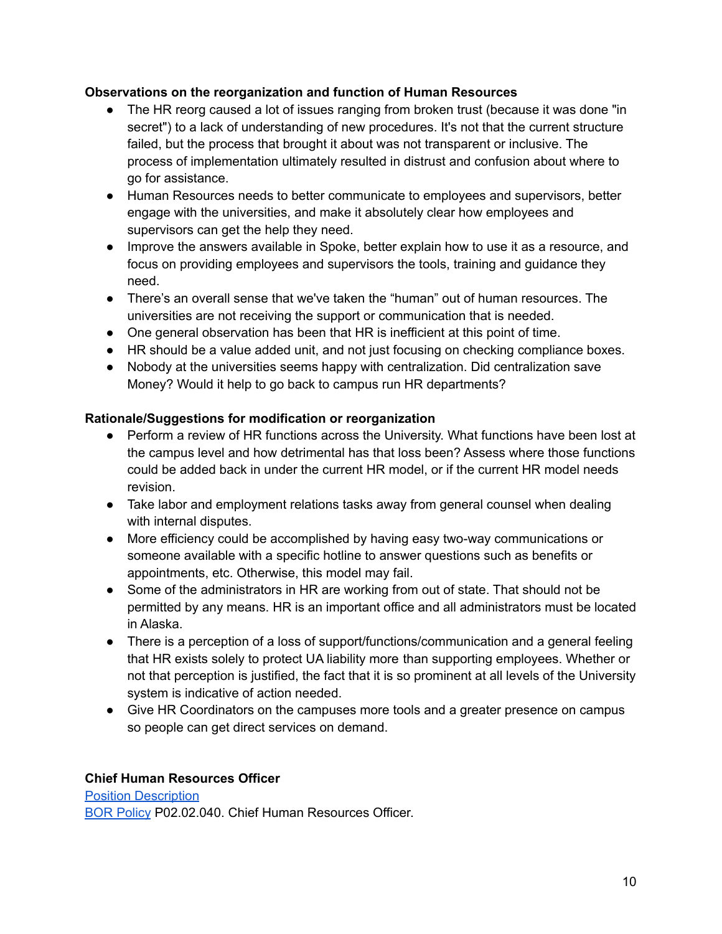# **Observations on the reorganization and function of Human Resources**

- The HR reorg caused a lot of issues ranging from broken trust (because it was done "in secret") to a lack of understanding of new procedures. It's not that the current structure failed, but the process that brought it about was not transparent or inclusive. The process of implementation ultimately resulted in distrust and confusion about where to go for assistance.
- Human Resources needs to better communicate to employees and supervisors, better engage with the universities, and make it absolutely clear how employees and supervisors can get the help they need.
- Improve the answers available in Spoke, better explain how to use it as a resource, and focus on providing employees and supervisors the tools, training and guidance they need.
- There's an overall sense that we've taken the "human" out of human resources. The universities are not receiving the support or communication that is needed.
- One general observation has been that HR is inefficient at this point of time.
- HR should be a value added unit, and not just focusing on checking compliance boxes.
- Nobody at the universities seems happy with centralization. Did centralization save Money? Would it help to go back to campus run HR departments?

# **Rationale/Suggestions for modification or reorganization**

- Perform a review of HR functions across the University. What functions have been lost at the campus level and how detrimental has that loss been? Assess where those functions could be added back in under the current HR model, or if the current HR model needs revision.
- Take labor and employment relations tasks away from general counsel when dealing with internal disputes.
- More efficiency could be accomplished by having easy two-way communications or someone available with a specific hotline to answer questions such as benefits or appointments, etc. Otherwise, this model may fail.
- Some of the administrators in HR are working from out of state. That should not be permitted by any means. HR is an important office and all administrators must be located in Alaska.
- There is a perception of a loss of support/functions/communication and a general feeling that HR exists solely to protect UA liability more than supporting employees. Whether or not that perception is justified, the fact that it is so prominent at all levels of the University system is indicative of action needed.
- Give HR Coordinators on the campuses more tools and a greater presence on campus so people can get direct services on demand.

# **Chief Human Resources Officer**

Position [Description](https://drive.google.com/file/d/1MQAsEU3HqToIcRpUXUSviAzLlDdeET7O/view?usp=sharing) BOR [Policy](https://alaska.edu/bor/policy/02.02-Officers%20of%20the%20University.pdf) P02.02.040. Chief Human Resources Officer.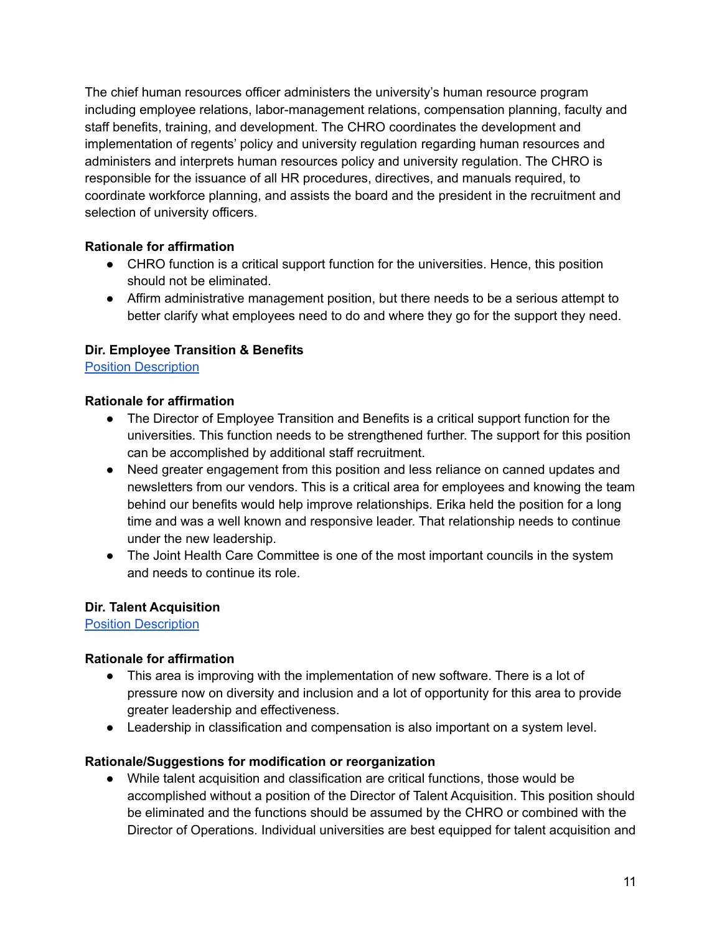The chief human resources officer administers the university's human resource program including employee relations, labor-management relations, compensation planning, faculty and staff benefits, training, and development. The CHRO coordinates the development and implementation of regents' policy and university regulation regarding human resources and administers and interprets human resources policy and university regulation. The CHRO is responsible for the issuance of all HR procedures, directives, and manuals required, to coordinate workforce planning, and assists the board and the president in the recruitment and selection of university officers.

# **Rationale for affirmation**

- CHRO function is a critical support function for the universities. Hence, this position should not be eliminated.
- Affirm administrative management position, but there needs to be a serious attempt to better clarify what employees need to do and where they go for the support they need.

# **Dir. Employee Transition & Benefits**

Position [Description](https://drive.google.com/file/d/1FDHv1vQC3FfJ6qFiqnBmjxMO4JrWUEnq/view?usp=sharing)

# **Rationale for affirmation**

- The Director of Employee Transition and Benefits is a critical support function for the universities. This function needs to be strengthened further. The support for this position can be accomplished by additional staff recruitment.
- Need greater engagement from this position and less reliance on canned updates and newsletters from our vendors. This is a critical area for employees and knowing the team behind our benefits would help improve relationships. Erika held the position for a long time and was a well known and responsive leader. That relationship needs to continue under the new leadership.
- The Joint Health Care Committee is one of the most important councils in the system and needs to continue its role.

# **Dir. Talent Acquisition**

Position [Description](https://drive.google.com/file/d/1AU5PBKQPRwqvjhcX5-dk6i4_iBGtq3p3/view?usp=sharing)

# **Rationale for affirmation**

- This area is improving with the implementation of new software. There is a lot of pressure now on diversity and inclusion and a lot of opportunity for this area to provide greater leadership and effectiveness.
- Leadership in classification and compensation is also important on a system level.

# **Rationale/Suggestions for modification or reorganization**

● While talent acquisition and classification are critical functions, those would be accomplished without a position of the Director of Talent Acquisition. This position should be eliminated and the functions should be assumed by the CHRO or combined with the Director of Operations. Individual universities are best equipped for talent acquisition and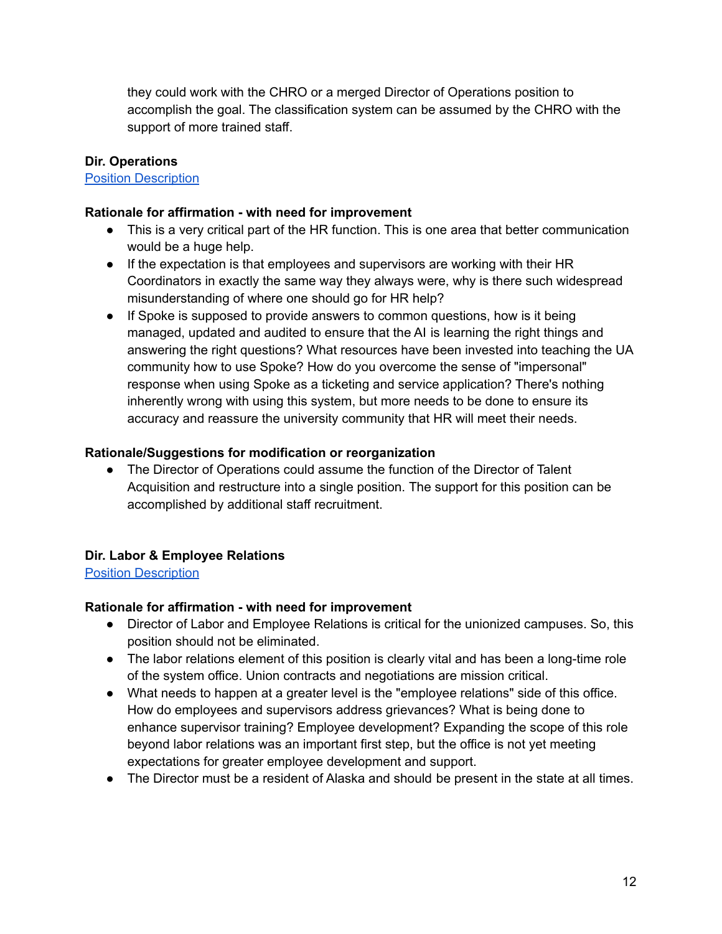they could work with the CHRO or a merged Director of Operations position to accomplish the goal. The classification system can be assumed by the CHRO with the support of more trained staff.

# **Dir. Operations**

#### Position [Description](https://drive.google.com/file/d/1tYddU3CHhPo9R_j2N1HkBv4C-XbWZBnO/view?usp=sharing)

### **Rationale for affirmation - with need for improvement**

- This is a very critical part of the HR function. This is one area that better communication would be a huge help.
- If the expectation is that employees and supervisors are working with their HR Coordinators in exactly the same way they always were, why is there such widespread misunderstanding of where one should go for HR help?
- If Spoke is supposed to provide answers to common questions, how is it being managed, updated and audited to ensure that the AI is learning the right things and answering the right questions? What resources have been invested into teaching the UA community how to use Spoke? How do you overcome the sense of "impersonal" response when using Spoke as a ticketing and service application? There's nothing inherently wrong with using this system, but more needs to be done to ensure its accuracy and reassure the university community that HR will meet their needs.

#### **Rationale/Suggestions for modification or reorganization**

• The Director of Operations could assume the function of the Director of Talent Acquisition and restructure into a single position. The support for this position can be accomplished by additional staff recruitment.

# **Dir. Labor & Employee Relations**

Position [Description](https://drive.google.com/file/d/1nIisnNBWQpXIuDMbXBta2k20BZr9w_RJ/view?usp=sharing)

# **Rationale for affirmation - with need for improvement**

- Director of Labor and Employee Relations is critical for the unionized campuses. So, this position should not be eliminated.
- The labor relations element of this position is clearly vital and has been a long-time role of the system office. Union contracts and negotiations are mission critical.
- What needs to happen at a greater level is the "employee relations" side of this office. How do employees and supervisors address grievances? What is being done to enhance supervisor training? Employee development? Expanding the scope of this role beyond labor relations was an important first step, but the office is not yet meeting expectations for greater employee development and support.
- The Director must be a resident of Alaska and should be present in the state at all times.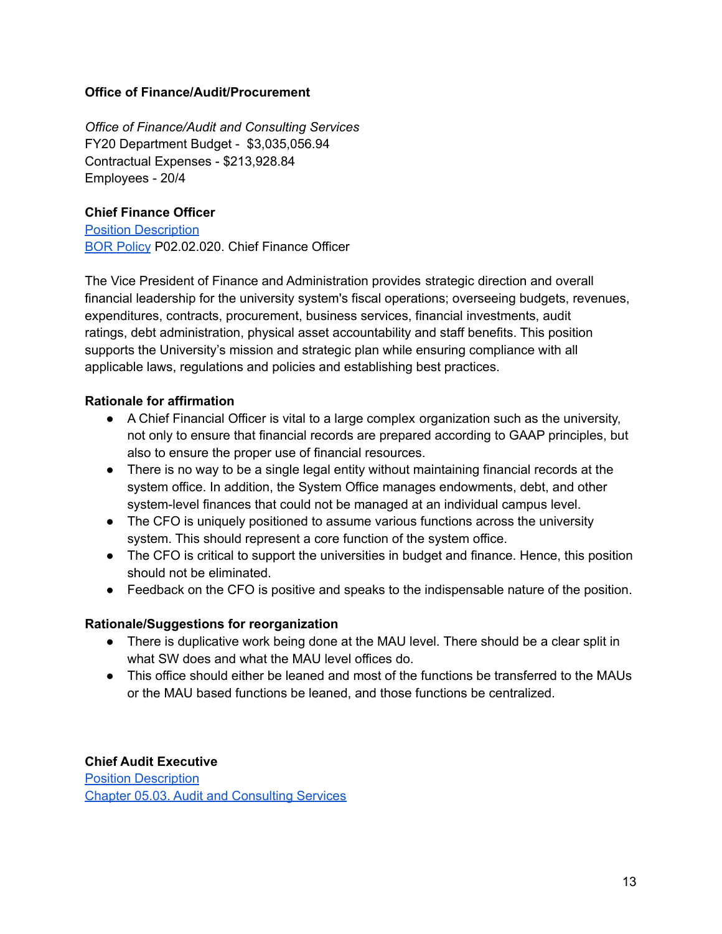#### **Office of Finance/Audit/Procurement**

*Office of Finance/Audit and Consulting Services* FY20 Department Budget - \$3,035,056.94 Contractual Expenses - \$213,928.84 Employees - 20/4

#### **Chief Finance Officer**

Position [Description](https://drive.google.com/file/d/1HexYMmvJ7TIRRwmn6ledEBWbriLXMjxq/view?usp=sharing) BOR [Policy](https://alaska.edu/bor/policy/02.02-Officers%20of%20the%20University.pdf) P02.02.020. Chief Finance Officer

The Vice President of Finance and Administration provides strategic direction and overall financial leadership for the university system's fiscal operations; overseeing budgets, revenues, expenditures, contracts, procurement, business services, financial investments, audit ratings, debt administration, physical asset accountability and staff benefits. This position supports the University's mission and strategic plan while ensuring compliance with all applicable laws, regulations and policies and establishing best practices.

#### **Rationale for affirmation**

- A Chief Financial Officer is vital to a large complex organization such as the university, not only to ensure that financial records are prepared according to GAAP principles, but also to ensure the proper use of financial resources.
- There is no way to be a single legal entity without maintaining financial records at the system office. In addition, the System Office manages endowments, debt, and other system-level finances that could not be managed at an individual campus level.
- The CFO is uniquely positioned to assume various functions across the university system. This should represent a core function of the system office.
- The CFO is critical to support the universities in budget and finance. Hence, this position should not be eliminated.
- Feedback on the CFO is positive and speaks to the indispensable nature of the position.

#### **Rationale/Suggestions for reorganization**

- There is duplicative work being done at the MAU level. There should be a clear split in what SW does and what the MAU level offices do.
- This office should either be leaned and most of the functions be transferred to the MAUs or the MAU based functions be leaned, and those functions be centralized.

#### **Chief Audit Executive**

Position [Description](https://drive.google.com/file/d/1XgsE6zMFSMuG3073MSZZng-Q9j_7FHzi/view?usp=sharing) Chapter 05.03. Audit and [Consulting](https://alaska.edu/bor/policy/05.03-Audit%20and%20Consulting%20Services.pdf) Services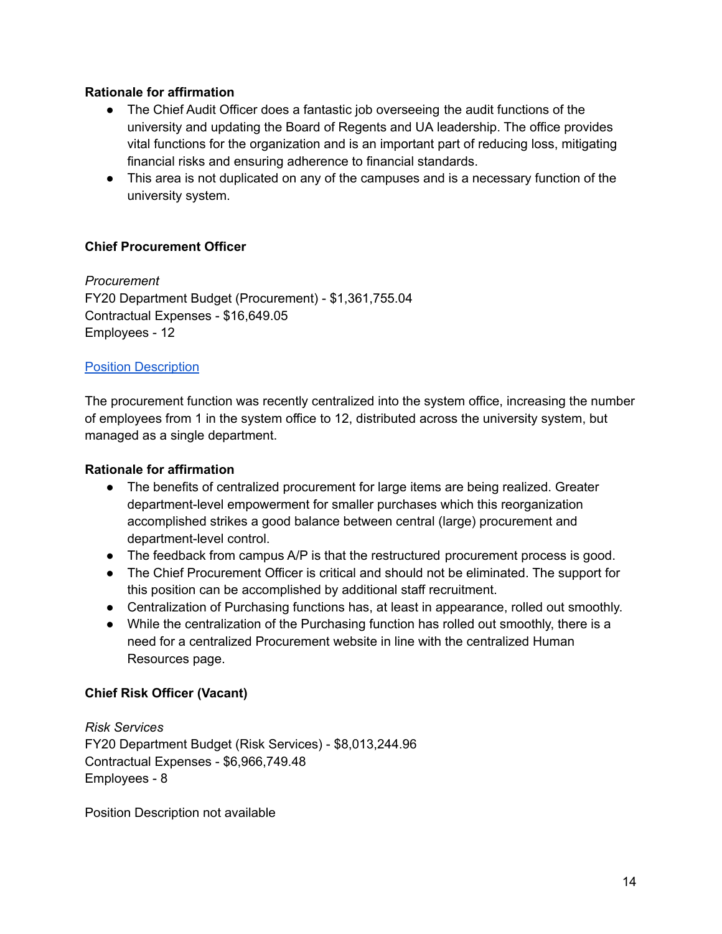### **Rationale for affirmation**

- The Chief Audit Officer does a fantastic job overseeing the audit functions of the university and updating the Board of Regents and UA leadership. The office provides vital functions for the organization and is an important part of reducing loss, mitigating financial risks and ensuring adherence to financial standards.
- This area is not duplicated on any of the campuses and is a necessary function of the university system.

#### **Chief Procurement Officer**

*Procurement* FY20 Department Budget (Procurement) - \$1,361,755.04 Contractual Expenses - \$16,649.05 Employees - 12

#### Position [Description](https://drive.google.com/file/d/1rm8nfFtJdntcg_VTbHMpzIRhDvrN4JBF/view?usp=sharing)

The procurement function was recently centralized into the system office, increasing the number of employees from 1 in the system office to 12, distributed across the university system, but managed as a single department.

#### **Rationale for affirmation**

- The benefits of centralized procurement for large items are being realized. Greater department-level empowerment for smaller purchases which this reorganization accomplished strikes a good balance between central (large) procurement and department-level control.
- The feedback from campus A/P is that the restructured procurement process is good.
- The Chief Procurement Officer is critical and should not be eliminated. The support for this position can be accomplished by additional staff recruitment.
- Centralization of Purchasing functions has, at least in appearance, rolled out smoothly.
- While the centralization of the Purchasing function has rolled out smoothly, there is a need for a centralized Procurement website in line with the centralized Human Resources page.

#### **Chief Risk Officer (Vacant)**

*Risk Services* FY20 Department Budget (Risk Services) - \$8,013,244.96 Contractual Expenses - \$6,966,749.48 Employees - 8

Position Description not available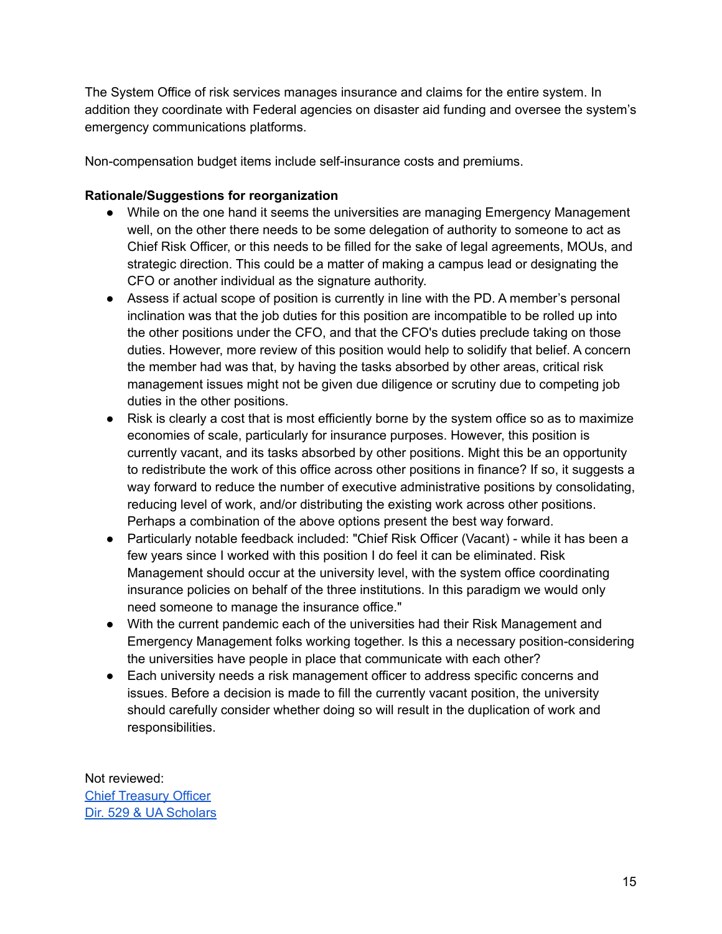The System Office of risk services manages insurance and claims for the entire system. In addition they coordinate with Federal agencies on disaster aid funding and oversee the system's emergency communications platforms.

Non-compensation budget items include self-insurance costs and premiums.

# **Rationale/Suggestions for reorganization**

- While on the one hand it seems the universities are managing Emergency Management well, on the other there needs to be some delegation of authority to someone to act as Chief Risk Officer, or this needs to be filled for the sake of legal agreements, MOUs, and strategic direction. This could be a matter of making a campus lead or designating the CFO or another individual as the signature authority.
- Assess if actual scope of position is currently in line with the PD. A member's personal inclination was that the job duties for this position are incompatible to be rolled up into the other positions under the CFO, and that the CFO's duties preclude taking on those duties. However, more review of this position would help to solidify that belief. A concern the member had was that, by having the tasks absorbed by other areas, critical risk management issues might not be given due diligence or scrutiny due to competing job duties in the other positions.
- Risk is clearly a cost that is most efficiently borne by the system office so as to maximize economies of scale, particularly for insurance purposes. However, this position is currently vacant, and its tasks absorbed by other positions. Might this be an opportunity to redistribute the work of this office across other positions in finance? If so, it suggests a way forward to reduce the number of executive administrative positions by consolidating, reducing level of work, and/or distributing the existing work across other positions. Perhaps a combination of the above options present the best way forward.
- Particularly notable feedback included: "Chief Risk Officer (Vacant) while it has been a few years since I worked with this position I do feel it can be eliminated. Risk Management should occur at the university level, with the system office coordinating insurance policies on behalf of the three institutions. In this paradigm we would only need someone to manage the insurance office."
- With the current pandemic each of the universities had their Risk Management and Emergency Management folks working together. Is this a necessary position-considering the universities have people in place that communicate with each other?
- Each university needs a risk management officer to address specific concerns and issues. Before a decision is made to fill the currently vacant position, the university should carefully consider whether doing so will result in the duplication of work and responsibilities.

Not reviewed: Chief [Treasury](https://drive.google.com/file/d/1tVR3JXeXBhaMn-s4_87XCAbsuEeh0ljH/view?usp=sharing) Officer Dir. 529 & UA [Scholars](https://drive.google.com/file/d/1m7xjzWQL_qwEnGGjcViNMLMcF5mlsLXr/view?usp=sharing)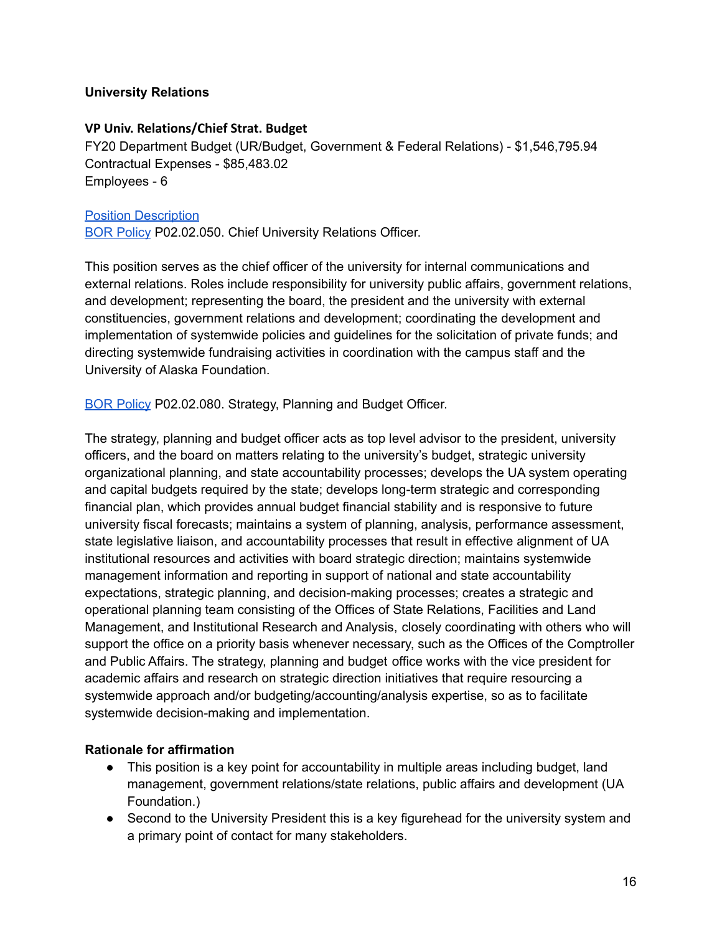#### **University Relations**

#### **VP Univ. Relations/Chief Strat. Budget**

FY20 Department Budget (UR/Budget, Government & Federal Relations) - \$1,546,795.94 Contractual Expenses - \$85,483.02 Employees - 6

#### Position [Description](https://drive.google.com/file/d/1HxAILJDwF1qJYXp4H7Ys3C7w_NMfCSP_/view?usp=sharing)

BOR [Policy](https://alaska.edu/bor/policy/02.02-Officers%20of%20the%20University.pdf) P02.02.050. Chief University Relations Officer.

This position serves as the chief officer of the university for internal communications and external relations. Roles include responsibility for university public affairs, government relations, and development; representing the board, the president and the university with external constituencies, government relations and development; coordinating the development and implementation of systemwide policies and guidelines for the solicitation of private funds; and directing systemwide fundraising activities in coordination with the campus staff and the University of Alaska Foundation.

BOR [Policy](https://alaska.edu/bor/policy/02.02-Officers%20of%20the%20University.pdf) P02.02.080. Strategy, Planning and Budget Officer.

The strategy, planning and budget officer acts as top level advisor to the president, university officers, and the board on matters relating to the university's budget, strategic university organizational planning, and state accountability processes; develops the UA system operating and capital budgets required by the state; develops long-term strategic and corresponding financial plan, which provides annual budget financial stability and is responsive to future university fiscal forecasts; maintains a system of planning, analysis, performance assessment, state legislative liaison, and accountability processes that result in effective alignment of UA institutional resources and activities with board strategic direction; maintains systemwide management information and reporting in support of national and state accountability expectations, strategic planning, and decision-making processes; creates a strategic and operational planning team consisting of the Offices of State Relations, Facilities and Land Management, and Institutional Research and Analysis, closely coordinating with others who will support the office on a priority basis whenever necessary, such as the Offices of the Comptroller and Public Affairs. The strategy, planning and budget office works with the vice president for academic affairs and research on strategic direction initiatives that require resourcing a systemwide approach and/or budgeting/accounting/analysis expertise, so as to facilitate systemwide decision-making and implementation.

#### **Rationale for affirmation**

- This position is a key point for accountability in multiple areas including budget, land management, government relations/state relations, public affairs and development (UA Foundation.)
- Second to the University President this is a key figurehead for the university system and a primary point of contact for many stakeholders.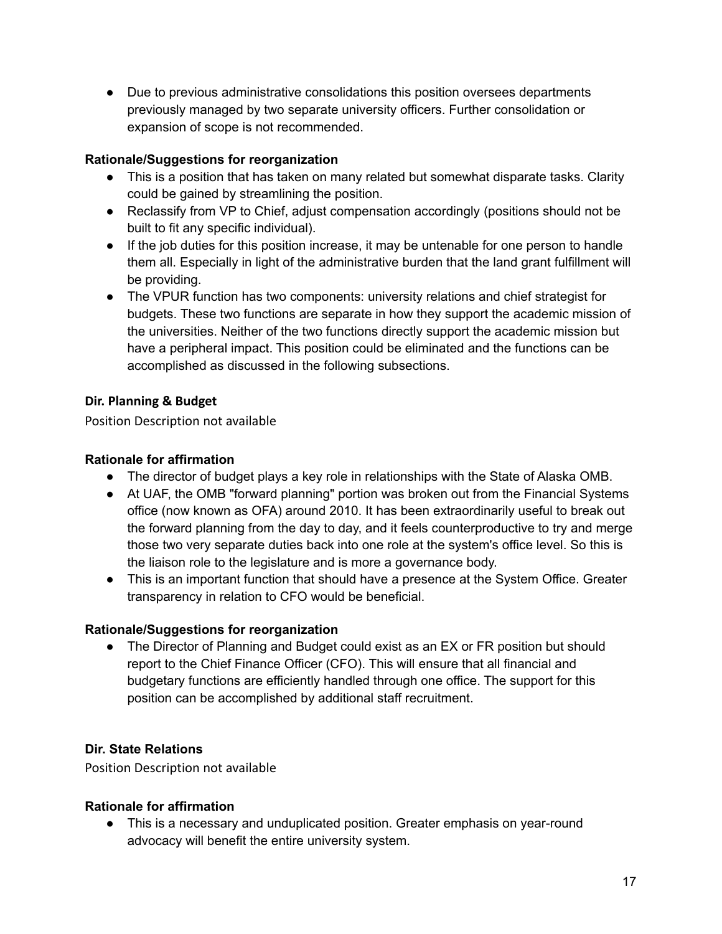● Due to previous administrative consolidations this position oversees departments previously managed by two separate university officers. Further consolidation or expansion of scope is not recommended.

# **Rationale/Suggestions for reorganization**

- This is a position that has taken on many related but somewhat disparate tasks. Clarity could be gained by streamlining the position.
- Reclassify from VP to Chief, adjust compensation accordingly (positions should not be built to fit any specific individual).
- If the job duties for this position increase, it may be untenable for one person to handle them all. Especially in light of the administrative burden that the land grant fulfillment will be providing.
- The VPUR function has two components: university relations and chief strategist for budgets. These two functions are separate in how they support the academic mission of the universities. Neither of the two functions directly support the academic mission but have a peripheral impact. This position could be eliminated and the functions can be accomplished as discussed in the following subsections.

# **Dir. Planning & Budget**

Position Description not available

# **Rationale for affirmation**

- The director of budget plays a key role in relationships with the State of Alaska OMB.
- At UAF, the OMB "forward planning" portion was broken out from the Financial Systems office (now known as OFA) around 2010. It has been extraordinarily useful to break out the forward planning from the day to day, and it feels counterproductive to try and merge those two very separate duties back into one role at the system's office level. So this is the liaison role to the legislature and is more a governance body.
- This is an important function that should have a presence at the System Office. Greater transparency in relation to CFO would be beneficial.

# **Rationale/Suggestions for reorganization**

• The Director of Planning and Budget could exist as an EX or FR position but should report to the Chief Finance Officer (CFO). This will ensure that all financial and budgetary functions are efficiently handled through one office. The support for this position can be accomplished by additional staff recruitment.

# **Dir. State Relations**

Position Description not available

# **Rationale for affirmation**

● This is a necessary and unduplicated position. Greater emphasis on year-round advocacy will benefit the entire university system.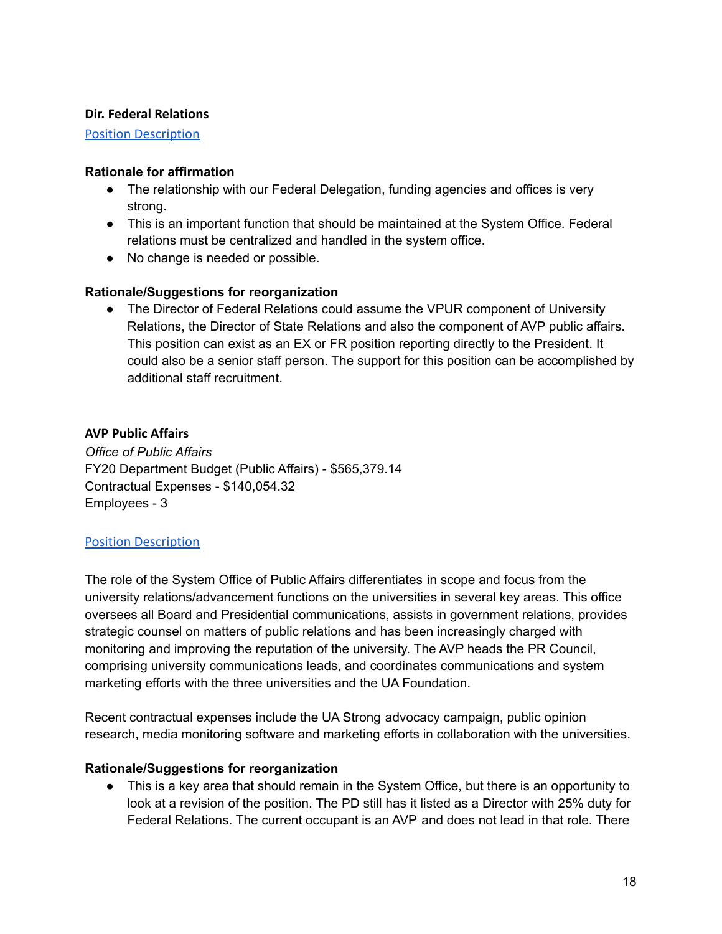#### **Dir. Federal Relations**

[Position Description](https://drive.google.com/file/d/14Ac1uCevg1B_eQnHThz5O3s-KYwxz1ex/view?usp=sharing)

#### **Rationale for affirmation**

- The relationship with our Federal Delegation, funding agencies and offices is very strong.
- This is an important function that should be maintained at the System Office. Federal relations must be centralized and handled in the system office.
- No change is needed or possible.

#### **Rationale/Suggestions for reorganization**

● The Director of Federal Relations could assume the VPUR component of University Relations, the Director of State Relations and also the component of AVP public affairs. This position can exist as an EX or FR position reporting directly to the President. It could also be a senior staff person. The support for this position can be accomplished by additional staff recruitment.

#### **AVP Public Affairs**

*Office of Public Affairs* FY20 Department Budget (Public Affairs) - \$565,379.14 Contractual Expenses - \$140,054.32 Employees - 3

#### [Position Description](https://drive.google.com/file/d/11e4Q66c51xN2q-IfF4gWexPlWhNagW7L/view?usp=sharing)

The role of the System Office of Public Affairs differentiates in scope and focus from the university relations/advancement functions on the universities in several key areas. This office oversees all Board and Presidential communications, assists in government relations, provides strategic counsel on matters of public relations and has been increasingly charged with monitoring and improving the reputation of the university. The AVP heads the PR Council, comprising university communications leads, and coordinates communications and system marketing efforts with the three universities and the UA Foundation.

Recent contractual expenses include the UA Strong advocacy campaign, public opinion research, media monitoring software and marketing efforts in collaboration with the universities.

#### **Rationale/Suggestions for reorganization**

• This is a key area that should remain in the System Office, but there is an opportunity to look at a revision of the position. The PD still has it listed as a Director with 25% duty for Federal Relations. The current occupant is an AVP and does not lead in that role. There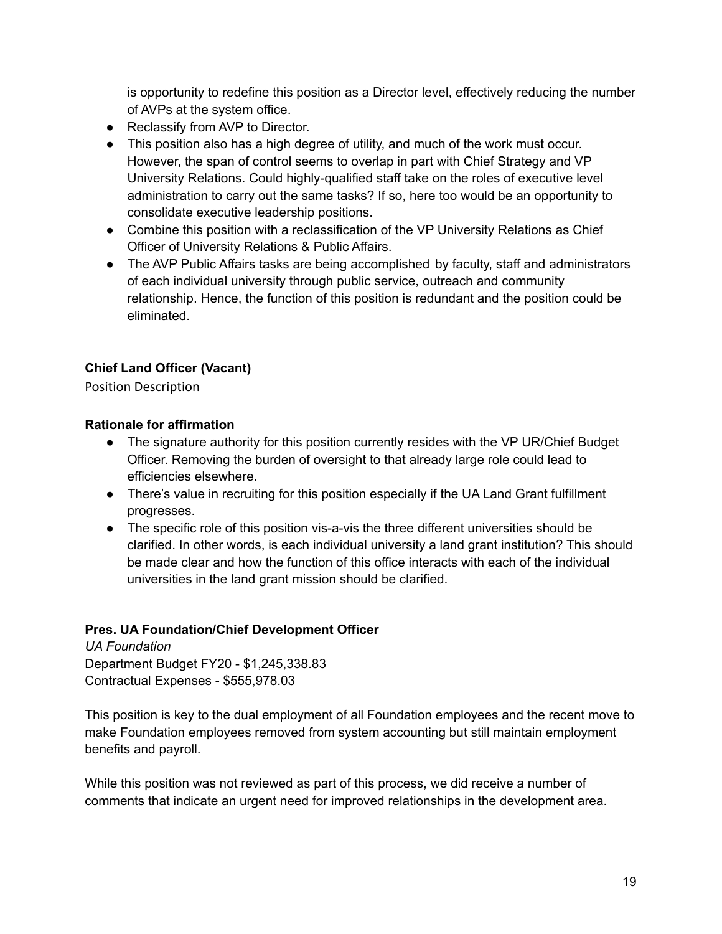is opportunity to redefine this position as a Director level, effectively reducing the number of AVPs at the system office.

- Reclassify from AVP to Director.
- This position also has a high degree of utility, and much of the work must occur. However, the span of control seems to overlap in part with Chief Strategy and VP University Relations. Could highly-qualified staff take on the roles of executive level administration to carry out the same tasks? If so, here too would be an opportunity to consolidate executive leadership positions.
- Combine this position with a reclassification of the VP University Relations as Chief Officer of University Relations & Public Affairs.
- The AVP Public Affairs tasks are being accomplished by faculty, staff and administrators of each individual university through public service, outreach and community relationship. Hence, the function of this position is redundant and the position could be eliminated.

# **Chief Land Officer (Vacant)**

Position Description

# **Rationale for affirmation**

- The signature authority for this position currently resides with the VP UR/Chief Budget Officer. Removing the burden of oversight to that already large role could lead to efficiencies elsewhere.
- There's value in recruiting for this position especially if the UA Land Grant fulfillment progresses.
- The specific role of this position vis-a-vis the three different universities should be clarified. In other words, is each individual university a land grant institution? This should be made clear and how the function of this office interacts with each of the individual universities in the land grant mission should be clarified.

# **Pres. UA Foundation/Chief Development Officer**

*UA Foundation* Department Budget FY20 - \$1,245,338.83 Contractual Expenses - \$555,978.03

This position is key to the dual employment of all Foundation employees and the recent move to make Foundation employees removed from system accounting but still maintain employment benefits and payroll.

While this position was not reviewed as part of this process, we did receive a number of comments that indicate an urgent need for improved relationships in the development area.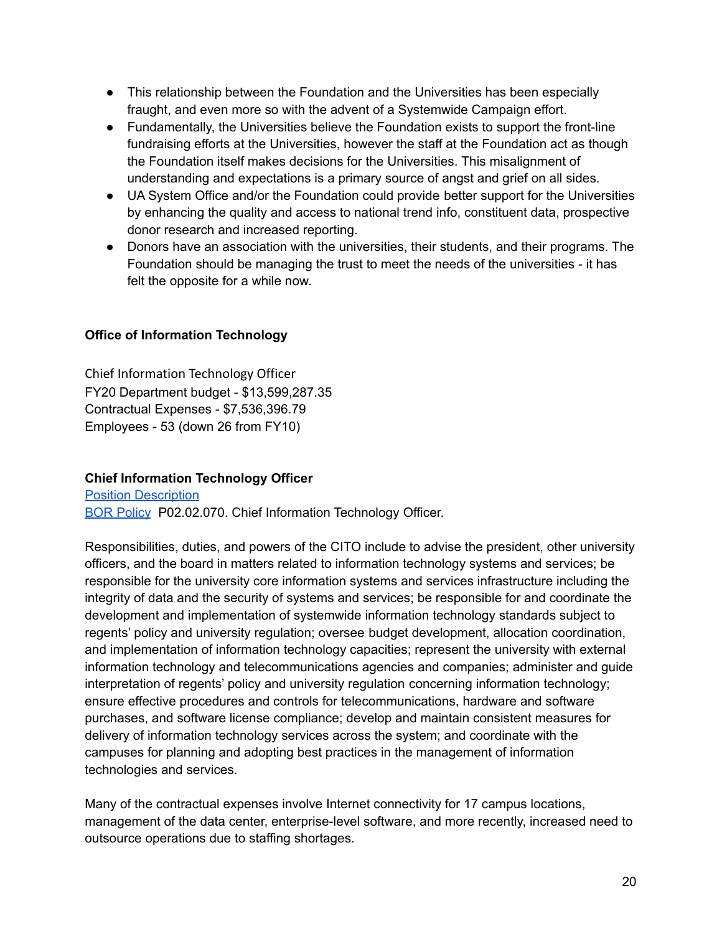- This relationship between the Foundation and the Universities has been especially fraught, and even more so with the advent of a Systemwide Campaign effort.
- Fundamentally, the Universities believe the Foundation exists to support the front-line fundraising efforts at the Universities, however the staff at the Foundation act as though the Foundation itself makes decisions for the Universities. This misalignment of understanding and expectations is a primary source of angst and grief on all sides.
- UA System Office and/or the Foundation could provide better support for the Universities by enhancing the quality and access to national trend info, constituent data, prospective donor research and increased reporting.
- Donors have an association with the universities, their students, and their programs. The Foundation should be managing the trust to meet the needs of the universities - it has felt the opposite for a while now.

# **Office of Information Technology**

Chief Information Technology Officer FY20 Department budget - \$13,599,287.35 Contractual Expenses - \$7,536,396.79 Employees - 53 (down 26 from FY10)

# **Chief Information Technology Officer**

Position [Description](https://drive.google.com/file/d/1qEjfGdRR-8NTMAMCo2P_tbfv2JAWCA9N/view?usp=sharing) BOR [Policy](https://alaska.edu/bor/policy/02.02-Officers%20of%20the%20University.pdf) P02.02.070. Chief Information Technology Officer.

Responsibilities, duties, and powers of the CITO include to advise the president, other university officers, and the board in matters related to information technology systems and services; be responsible for the university core information systems and services infrastructure including the integrity of data and the security of systems and services; be responsible for and coordinate the development and implementation of systemwide information technology standards subject to regents' policy and university regulation; oversee budget development, allocation coordination, and implementation of information technology capacities; represent the university with external information technology and telecommunications agencies and companies; administer and guide interpretation of regents' policy and university regulation concerning information technology; ensure effective procedures and controls for telecommunications, hardware and software purchases, and software license compliance; develop and maintain consistent measures for delivery of information technology services across the system; and coordinate with the campuses for planning and adopting best practices in the management of information technologies and services.

Many of the contractual expenses involve Internet connectivity for 17 campus locations, management of the data center, enterprise-level software, and more recently, increased need to outsource operations due to staffing shortages.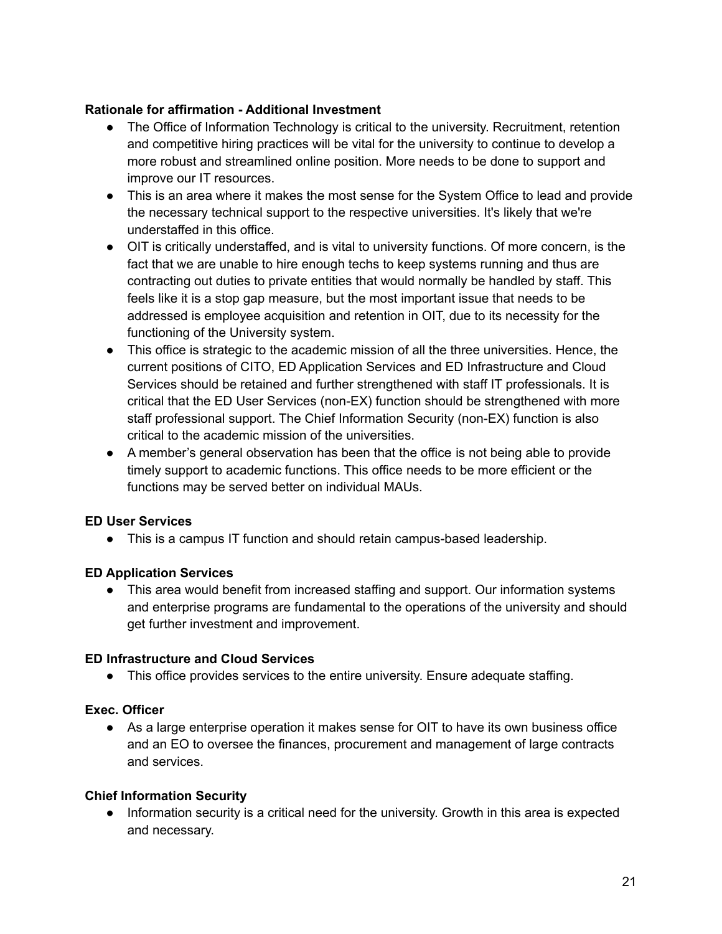### **Rationale for affirmation - Additional Investment**

- The Office of Information Technology is critical to the university. Recruitment, retention and competitive hiring practices will be vital for the university to continue to develop a more robust and streamlined online position. More needs to be done to support and improve our IT resources.
- This is an area where it makes the most sense for the System Office to lead and provide the necessary technical support to the respective universities. It's likely that we're understaffed in this office.
- OIT is critically understaffed, and is vital to university functions. Of more concern, is the fact that we are unable to hire enough techs to keep systems running and thus are contracting out duties to private entities that would normally be handled by staff. This feels like it is a stop gap measure, but the most important issue that needs to be addressed is employee acquisition and retention in OIT, due to its necessity for the functioning of the University system.
- This office is strategic to the academic mission of all the three universities. Hence, the current positions of CITO, ED Application Services and ED Infrastructure and Cloud Services should be retained and further strengthened with staff IT professionals. It is critical that the ED User Services (non-EX) function should be strengthened with more staff professional support. The Chief Information Security (non-EX) function is also critical to the academic mission of the universities.
- A member's general observation has been that the office is not being able to provide timely support to academic functions. This office needs to be more efficient or the functions may be served better on individual MAUs.

# **ED User Services**

● This is a campus IT function and should retain campus-based leadership.

#### **ED Application Services**

● This area would benefit from increased staffing and support. Our information systems and enterprise programs are fundamental to the operations of the university and should get further investment and improvement.

#### **ED Infrastructure and Cloud Services**

● This office provides services to the entire university. Ensure adequate staffing.

# **Exec. Officer**

• As a large enterprise operation it makes sense for OIT to have its own business office and an EO to oversee the finances, procurement and management of large contracts and services.

#### **Chief Information Security**

● Information security is a critical need for the university. Growth in this area is expected and necessary.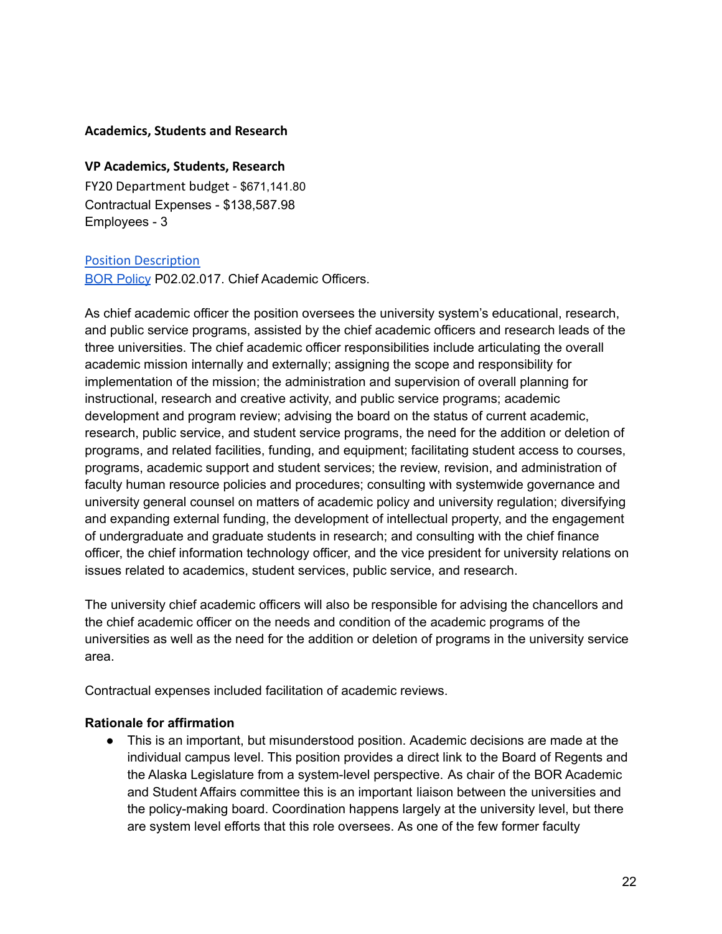#### **Academics, Students and Research**

#### **VP Academics, Students, Research**

FY20 Department budget - \$671,141.80 Contractual Expenses - \$138,587.98 Employees - 3

#### [Position Description](https://drive.google.com/file/d/1vIYjHnx8EbrbHujohzsoagfWvYuHEB6P/view?usp=sharing)

BOR [Policy](https://alaska.edu/bor/policy/02.02-Officers%20of%20the%20University.pdf) P02.02.017. Chief Academic Officers.

As chief academic officer the position oversees the university system's educational, research, and public service programs, assisted by the chief academic officers and research leads of the three universities. The chief academic officer responsibilities include articulating the overall academic mission internally and externally; assigning the scope and responsibility for implementation of the mission; the administration and supervision of overall planning for instructional, research and creative activity, and public service programs; academic development and program review; advising the board on the status of current academic, research, public service, and student service programs, the need for the addition or deletion of programs, and related facilities, funding, and equipment; facilitating student access to courses, programs, academic support and student services; the review, revision, and administration of faculty human resource policies and procedures; consulting with systemwide governance and university general counsel on matters of academic policy and university regulation; diversifying and expanding external funding, the development of intellectual property, and the engagement of undergraduate and graduate students in research; and consulting with the chief finance officer, the chief information technology officer, and the vice president for university relations on issues related to academics, student services, public service, and research.

The university chief academic officers will also be responsible for advising the chancellors and the chief academic officer on the needs and condition of the academic programs of the universities as well as the need for the addition or deletion of programs in the university service area.

Contractual expenses included facilitation of academic reviews.

#### **Rationale for affirmation**

● This is an important, but misunderstood position. Academic decisions are made at the individual campus level. This position provides a direct link to the Board of Regents and the Alaska Legislature from a system-level perspective. As chair of the BOR Academic and Student Affairs committee this is an important liaison between the universities and the policy-making board. Coordination happens largely at the university level, but there are system level efforts that this role oversees. As one of the few former faculty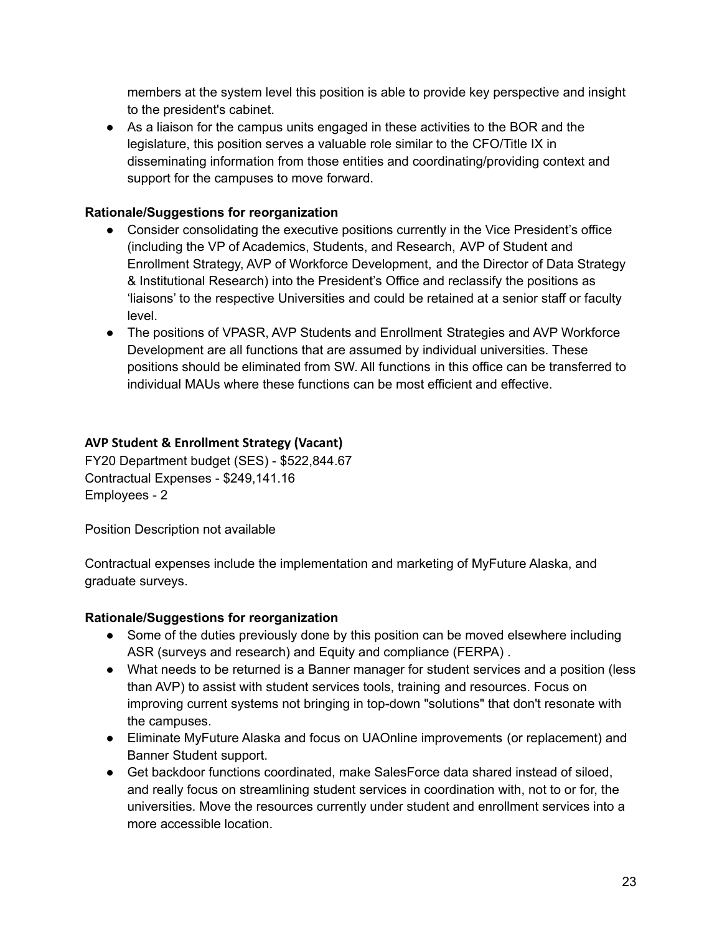members at the system level this position is able to provide key perspective and insight to the president's cabinet.

● As a liaison for the campus units engaged in these activities to the BOR and the legislature, this position serves a valuable role similar to the CFO/Title IX in disseminating information from those entities and coordinating/providing context and support for the campuses to move forward.

# **Rationale/Suggestions for reorganization**

- Consider consolidating the executive positions currently in the Vice President's office (including the VP of Academics, Students, and Research, AVP of Student and Enrollment Strategy, AVP of Workforce Development, and the Director of Data Strategy & Institutional Research) into the President's Office and reclassify the positions as 'liaisons' to the respective Universities and could be retained at a senior staff or faculty level.
- The positions of VPASR, AVP Students and Enrollment Strategies and AVP Workforce Development are all functions that are assumed by individual universities. These positions should be eliminated from SW. All functions in this office can be transferred to individual MAUs where these functions can be most efficient and effective.

# **AVP Student & Enrollment Strategy (Vacant)**

FY20 Department budget (SES) - \$522,844.67 Contractual Expenses - \$249,141.16 Employees - 2

Position Description not available

Contractual expenses include the implementation and marketing of MyFuture Alaska, and graduate surveys.

# **Rationale/Suggestions for reorganization**

- Some of the duties previously done by this position can be moved elsewhere including ASR (surveys and research) and Equity and compliance (FERPA) .
- What needs to be returned is a Banner manager for student services and a position (less than AVP) to assist with student services tools, training and resources. Focus on improving current systems not bringing in top-down "solutions" that don't resonate with the campuses.
- Eliminate MyFuture Alaska and focus on UAOnline improvements (or replacement) and Banner Student support.
- Get backdoor functions coordinated, make SalesForce data shared instead of siloed, and really focus on streamlining student services in coordination with, not to or for, the universities. Move the resources currently under student and enrollment services into a more accessible location.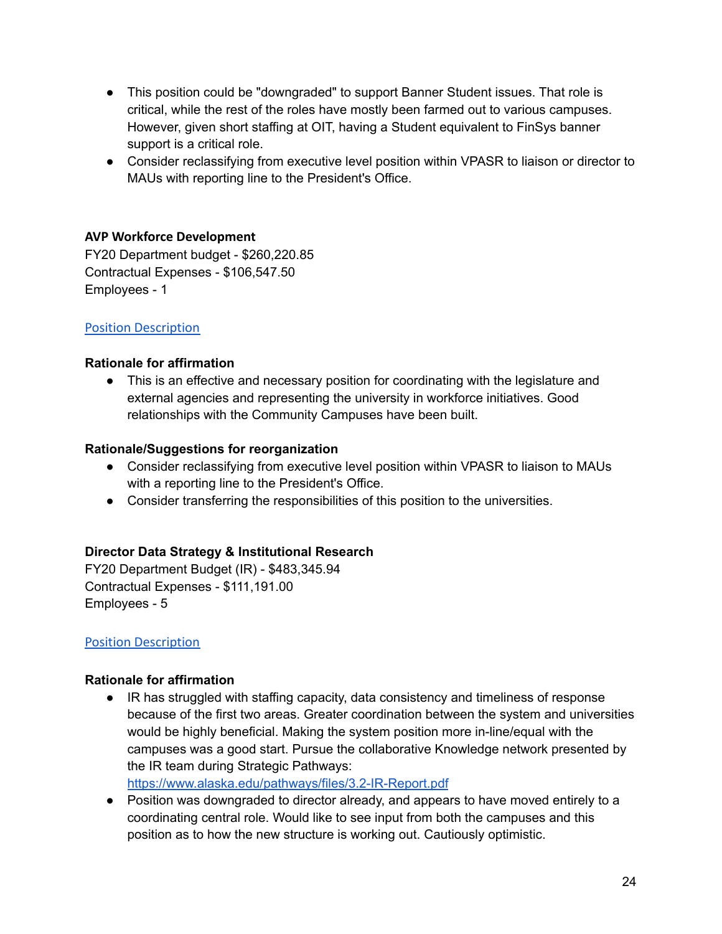- This position could be "downgraded" to support Banner Student issues. That role is critical, while the rest of the roles have mostly been farmed out to various campuses. However, given short staffing at OIT, having a Student equivalent to FinSys banner support is a critical role.
- Consider reclassifying from executive level position within VPASR to liaison or director to MAUs with reporting line to the President's Office.

# **AVP Workforce Development**

FY20 Department budget - \$260,220.85 Contractual Expenses - \$106,547.50 Employees - 1

#### [Position Description](https://drive.google.com/file/d/1I7TESFCgtknF0Q6QqQ-3Vf3cPSL3FAwf/view?usp=sharing)

#### **Rationale for affirmation**

• This is an effective and necessary position for coordinating with the legislature and external agencies and representing the university in workforce initiatives. Good relationships with the Community Campuses have been built.

#### **Rationale/Suggestions for reorganization**

- Consider reclassifying from executive level position within VPASR to liaison to MAUs with a reporting line to the President's Office.
- Consider transferring the responsibilities of this position to the universities.

#### **Director Data Strategy & Institutional Research**

FY20 Department Budget (IR) - \$483,345.94 Contractual Expenses - \$111,191.00 Employees - 5

#### [Position Description](https://drive.google.com/file/d/19P1BgK9TChZkWKbwdlRJ5ESIMBDldT7p/view?usp=sharing)

#### **Rationale for affirmation**

● IR has struggled with staffing capacity, data consistency and timeliness of response because of the first two areas. Greater coordination between the system and universities would be highly beneficial. Making the system position more in-line/equal with the campuses was a good start. Pursue the collaborative Knowledge network presented by the IR team during Strategic Pathways:

<https://www.alaska.edu/pathways/files/3.2-IR-Report.pdf>

● Position was downgraded to director already, and appears to have moved entirely to a coordinating central role. Would like to see input from both the campuses and this position as to how the new structure is working out. Cautiously optimistic.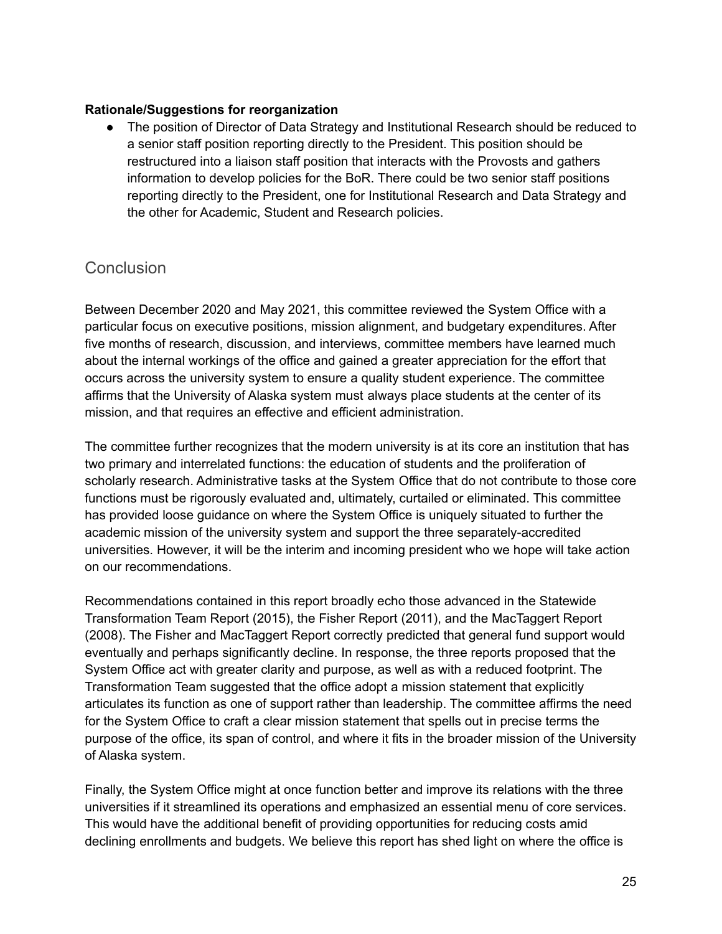#### **Rationale/Suggestions for reorganization**

● The position of Director of Data Strategy and Institutional Research should be reduced to a senior staff position reporting directly to the President. This position should be restructured into a liaison staff position that interacts with the Provosts and gathers information to develop policies for the BoR. There could be two senior staff positions reporting directly to the President, one for Institutional Research and Data Strategy and the other for Academic, Student and Research policies.

# Conclusion

Between December 2020 and May 2021, this committee reviewed the System Office with a particular focus on executive positions, mission alignment, and budgetary expenditures. After five months of research, discussion, and interviews, committee members have learned much about the internal workings of the office and gained a greater appreciation for the effort that occurs across the university system to ensure a quality student experience. The committee affirms that the University of Alaska system must always place students at the center of its mission, and that requires an effective and efficient administration.

The committee further recognizes that the modern university is at its core an institution that has two primary and interrelated functions: the education of students and the proliferation of scholarly research. Administrative tasks at the System Office that do not contribute to those core functions must be rigorously evaluated and, ultimately, curtailed or eliminated. This committee has provided loose guidance on where the System Office is uniquely situated to further the academic mission of the university system and support the three separately-accredited universities. However, it will be the interim and incoming president who we hope will take action on our recommendations.

Recommendations contained in this report broadly echo those advanced in the Statewide Transformation Team Report (2015), the Fisher Report (2011), and the MacTaggert Report (2008). The Fisher and MacTaggert Report correctly predicted that general fund support would eventually and perhaps significantly decline. In response, the three reports proposed that the System Office act with greater clarity and purpose, as well as with a reduced footprint. The Transformation Team suggested that the office adopt a mission statement that explicitly articulates its function as one of support rather than leadership. The committee affirms the need for the System Office to craft a clear mission statement that spells out in precise terms the purpose of the office, its span of control, and where it fits in the broader mission of the University of Alaska system.

Finally, the System Office might at once function better and improve its relations with the three universities if it streamlined its operations and emphasized an essential menu of core services. This would have the additional benefit of providing opportunities for reducing costs amid declining enrollments and budgets. We believe this report has shed light on where the office is